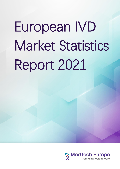# European IVD Market Statistics Report 2021

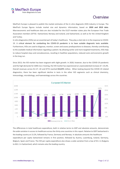## Overview

MedTech Europe is pleased to publish the market estimates of the In vitro diagnostic (IVD) industry in Europe. The MedTech Europe figures include market size and dynamics information, based on **2020 and 2019 data**. Macroeconomic and healthcare data are also included for the EU27-member states plus the European Free Trade Association members (EFTA) –Switzerland, Norway and Iceland, and Switzerland, as well as for the United Kingdom and Turkey.

In vitro diagnostics (IVDs) are an essential part of today's healthcare. They play a vital role in in the response to COVID-19. A critical element for combatting the COVID-19 pandemic is to have suitable diagnostic tests available. Furthermore, IVDs are used to diagnose, monitor, screen and assess predispositions to diseases, thereby contributing to the available medical information regarding a patient. By allowing earlier and more targeted treatments, IVDs help to reduce hospital stays and convalescences, resulting in healthier populations, reduced costs and economic growth in the long run.

Since 2013, the IVD market has been stagnant with slight growth. In 2020, however, due to the COVID-19 pandemic and the high demands for SARS-Cov-2 testing, the IVD market has experienced an unprecedented increase of + 25,4%. Overall revenues across EU-27, UK and EFTA reached **€13,971** million. When looking beyond the COVID-19 related diagnostics, there has been significant decline in tests in the other IVD segments such as clinical chemistry, immunology, microbiology, and haematology across the countries.



The differences in total healthcare expenditure, both in relative terms to GDP and absolute amounts, demonstrate the wide variation in access to healthcare across the thirty-one countries in this report. Relative to GDP Switzerland is the leading country at 13.2%, followed by France, Germany and Norway. In absolute amounts the healthcare expenditure per capita Switzerland remains in first position, followed by Austria, Luxemburg, Iceland, Germany, Belgium, Spain and France. The IVD per capita expenditure also shows a wide variation from a low of €5.1 in Bulgaria to €61.1 in Switzerland, which remains also the leading country.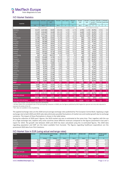

#### IVD Market Statistics

|                                | <b>Population 2020</b> | <b>GDP 2020</b> | GDP/capita | <b>THE 2020</b>                       | THE / capita | THE as %      | <b>IVD</b> mkt.       | IVD mkt. | IVD mkt.             | IVD mkt. $/$    | IVD mkt /   |
|--------------------------------|------------------------|-----------------|------------|---------------------------------------|--------------|---------------|-----------------------|----------|----------------------|-----------------|-------------|
| Countries                      |                        |                 | 2020       |                                       |              | <b>GDP</b>    | 2020                  | 2019     | growth<br>rate 20-19 | <b>THE 2020</b> | capita 2020 |
|                                | 1000                   | Mio €           | €          | Mio €                                 | €            | $\frac{0}{0}$ | Mio €                 | Mio €    | $\%$                 | $\%$            | €           |
|                                | Source: Eurostat       |                 |            | Source: Fitch Solutions (provisional) |              |               | Source MedTech Europe |          |                      |                 |             |
| Germany                        | 83,167                 | 3,367,560       | 40,492     | 428,640                               | 5,154        | 12.7%         | 2,745                 | 2,180    | 25.9%                | 0.6%            | 33.0        |
| France <sup>1</sup>            | 67,320                 | 2,302,860       | 34,208     | 294,703                               | 4,378        | 12.8%         | 2,140                 | 1,623    | 31.9%                | 0.7%            | 31.8        |
| Italy                          | 59,641                 | 1,653,577       | 27,725     | 163,426                               | 2,740        | 9.9%          | 1,776                 | 1,558    | 14.0%                | 1.1%            | 29.8        |
| Spain                          | 47,333                 | 1,121,948       | 23,703     | 115,405                               | 2,438        | 10.3%         | 1,514                 | 1,007    | 50.3%                | 1.3%            | 32.0        |
| Netherlands                    | 17,408                 | 800,095         | 45,962     | 81,340                                | 4,673        | 10.2%         | 365                   | 286      | 27.6%                | 0.4%            | 21.0        |
| Greece                         | 10,719                 | 165,326         | 15,424     | 16,216                                | 1,513        | 9.8%          | 254                   | 213      | 19.2%                | 1.6%            | 23.7        |
| Portugal                       | 10,296                 | 200,088         | 19,434     | 20,325                                | 1,974        | 10.2%         | 303                   | 220      | 37.5%                | 1.5%            | 29.4        |
| Belgium                        | 11,522                 | 456,893         | 39,652     | 51,130                                | 4,437        | 11.2%         | 372                   | 347      | 7.5%                 | 0.7%            | 32.3        |
| Sweden                         | 10,328                 | 475,432         | 46,035     | 54,557                                | 5,283        | 11.5%         | 251                   | 186      | 35.3%                | 0.5%            | 24.3        |
| Austria                        | 8,901                  | 379,321         | 42,615     | 46,368                                | 5,209        | 12.2%         | 465                   | 288      | 61.5%                | 1.0%            | 52.2        |
| Denmark                        | 5,823                  | 312,517         | 53,672     | 33,967                                | 5,833        | 10.9%         | 176                   | 161      | 9.5%                 | 0.5%            | 30.2        |
| Finland                        | 5,525                  | 236,032         | 42,718     | 23,805                                | 4,308        | 10.1%         | 130                   | 120      | 8.2%                 | 0.5%            | 23.5        |
| Ireland                        | 4,964                  | 372,869         | 75,108     | 25,296                                | 5,095        | 6.8%          | 149                   | 126      | 18.3%                | 0.6%            | 30.1        |
| Luxembourg                     | 626                    | 64,221          | 102,572    | N/A                                   | N/A          | N/A           | 21                    | 19       | 10.5%                | N/A             | 33.5        |
| Poland                         | 37,958                 | 523,668         | 13,796     | 37,072                                | 977          | 7.1%          | 454                   | 377      | 20.6%                | 1.2%            | 12.0        |
| Romania                        | 19,329                 | 218,863         | 11,323     | 10,244                                | 530          | 4.7%          | 218                   | 198      | 10.3%                | 2.1%            | 11.3        |
| Czech Rep                      | 10,694                 | 215,257         | 20,129     | 16,784                                | 1,569        | 7.8%          | 215                   | 162      | 32.9%                | 1.3%            | 20.1        |
| Hungary                        | 9,770                  | 136,622         | 13,985     | 9,416                                 | 964          | 6.9%          | 84                    | 79       | 6.7%                 | 0.9%            | 8.6         |
| <b>Bulgaria</b>                | 6,951                  | 61,331          | 8,823      | 4,805                                 | 691          | 7.8%          | 35                    | 32       | 9.7%                 | 0.7%            | 5.1         |
| Slovakia                       | 5,458                  | 92,079          | 16,871     | 7,003                                 | 1,283        | 7.6%          | 97                    | 78       | 25.2%                | 1.4%            | 17.8        |
| Croatia                        | 4,058                  | 50,190          | 12,368     | 3,831                                 | 944          | 7.6%          | 67                    | 65       | 3.5%                 | 1.7%            | 16.4        |
| Lithuania                      | 2,794                  | 49,507          | 17,719     | 3,312                                 | 1,185        | 6.7%          | 33                    | 29       | 13.1%                | 1.0%            | 11.7        |
| Latvia                         | 1,908                  | 29,511          | 15,470     | 2,372                                 | 1,243        | 8.0%          | 27                    | 24       | 14.8%                | 1.2%            | 14.4        |
| Slovenia                       | 2,096                  | 46,918          | 22,386     | 3,961                                 | 1,890        | 8.4%          | 62                    | 54       | 16.0%                | 1.6%            | 29.8        |
| Estonia                        | 1,329                  | 26,835          | 20,193     | 2,137                                 | 1,608        | 8.0%          | 26                    | 21       | 21.7%                | 1.2%            | 19.7        |
| Cyprus                         | 888                    | 21,548          | 24,266     | N/A                                   | N/A          | N/A           | 10                    | 10       | 10.0%                | N/A             | 11.8        |
| Malta                          | 515                    | 13,083          | 25,426     | N/A                                   | N/A          | N/A           | 6                     | 5        | 10.0%                | N/A             | 10.7        |
| <b>EU27</b>                    | 447,320                | 13,394,150      | 29,943     | N/A                                   | N/A          | N/A           | 11,995                | 9,464    | 26.7%                | N/A             | 26.8        |
| Switzerland                    | 8,606                  | 659,731         | 76,659     | 87,142                                | 10,126       | 13.2%         | 526                   | 462      | 13.8%                | 0.6%            | 61.1        |
| Norway                         | 5,368                  | 318,051         | 59,254     | 38,762                                | 7,222        | 12.2%         | 166                   | 145      | 14.1%                | 0.4%            | 30.8        |
| Iceland                        | 364                    | 19,025          | 52,248     | N/A                                   | N/A          | N/A           | 12                    | 11       | 10.0%                | N/A             | 33.2        |
| <b>EFTA</b>                    | 14,338                 | 996,807         | 69,523     | N/A                                   | N/A          | N/A           | 704                   | 618      | 13.8%                | N/A             | 49.1        |
| UK <sup>2</sup>                | 67,026                 | 2,425,151       | 36,182     | 267,745                               | 3,995        | 11.0%         | 1,272                 | 1,063    | 19.7%                | 0.5%            | 19.0        |
| TOTAL (EU27, EFTA, UK)         | 528,683                | 16,816,108      | 31,808     | N/A                                   | N/A          | N/A           | 13,971                | 11,145   | 25.4%                | N/A             | 26.4        |
| Turkey                         | 83,155                 | 626,576         | 7,535      | 30,537                                | 367          | 4.9%          | 621                   | 471      | 32%                  | 2.0%            | 7.5         |
| TOTAL (EU27, EFTA, UK, Turkey) | 611,838                | 17,442,684      | 28,509     | N/A                                   | N/A          | N/A           | 14,592                | 11,617   | 25.6%                | N/A             | 23.8        |

<sup>1</sup> France data includes only the Central Laboratory IVD Market.

<sup>2</sup> UK data reflects the consolidated sales of the participating companies in GDMS, plus the figures published by NHS England for glucose test strip sales adjusted to represent the whole of the UK.

<sup>3</sup> N/A -data not available in time of publishing.

The applied exchange rates are the 2020 annual average exchange rates published by The European Central Bank. Applying a single exchange rate to both 2020 and 2019 sales data eliminates possible fluctuations of market size and market growth due to exchange variations. The impact of these fluctuations is shown in the table below.

During the collection of 2020 year's figures, the 2019 market size was re-estimated at the same time. That, together with the use of a single exchange rate, explains why some countries show different revenues compared to the figures presented in last year's report for 2019. The growth rate between 2020 and 2019 has been calculated using the re-estimated figures. The 2020 data regarding population and GDP are the latest available from Eurostat. The figures regarding healthcare expenditure are the provisional 2020 data from Fitch Solutions.

#### IVD Market Size in EUR (using actual exchange rates)

| Country                        | <b>Currency</b> | 2020 Exchange Rate 2019 Exchange |          | <b>IVD mkt. 2020</b> | IVD mkt. 2019 | <b>IVD mkt. 2020</b> | <b>IVD mkt. 2019</b> | IVD mkt. growth   |
|--------------------------------|-----------------|----------------------------------|----------|----------------------|---------------|----------------------|----------------------|-------------------|
|                                |                 |                                  | Rate     |                      |               |                      |                      | <b>rate 20-19</b> |
|                                |                 | Average                          | Average  | Mio LC               | Mio LC        | Mio $\epsilon$       | Mio $\epsilon$       | %                 |
| Poland                         | <b>PLN</b>      | 0.2252                           | 0.2327   | 2,015                | 1,678         | 454                  | 390                  | 16.2%             |
| Romania                        | <b>RON</b>      | 0.2067                           | 0.2107   | 1,054                | 956           | 218                  | 201                  | 8.2%              |
| <b>Czech Rep</b>               | <b>CZKI</b>     | 0.03783                          | 0.03896  | 5,690                | 4,282         | 215                  | 167                  | 29.0%             |
| <b>Hungary</b>                 | HUF             | 0.002849                         | 0.003075 | 29,106               | 26,739        | 83                   | 82                   | 0.9%              |
| <b>EU27</b>                    | <b>EUR</b>      |                                  |          | N/A                  | N/A           | 11,994               | 9,490                | 26.4%             |
| <b>UK</b>                      | GBP             | 1.1248                           | 1.1399   | 1131                 | 945           | 1,272                | 1,077                | 18.1%             |
| TOTAL (EU27, EFTA, UK)         | <b>EUR</b>      |                                  |          | N/A                  | N/A           | 13,970               | 11,186               | 24.9%             |
| Turkey                         | <b>TRL</b>      | 0.12623                          | 0.15747  | 4,918                | 3,735         | 621                  | 588                  | 5.6%              |
| TOTAL (EU27, EFTA, UK, Turkey) | <b>EUR</b>      |                                  |          | N/A                  | N/A           | 14,591               | 11,774               | 23.9%             |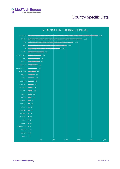

# Country Specific Data

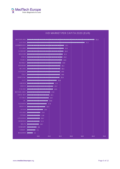



#### IVD MARKET PER CAPITA 2020 (EUR)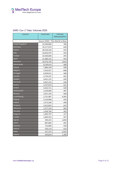

#### SARS-Cov-2 Tests: Volumes 2020

| <b>Country</b>  | <b>Total Tests</b> | <b>Tests per</b>                 |
|-----------------|--------------------|----------------------------------|
|                 |                    | 1000 population                  |
|                 |                    | Source: ECDC; *Our World in Data |
| United Kingdom* | 52,560,000         | 784                              |
| Germany         | 35,577,974         | 428                              |
| France          | 30,536,530         | 454                              |
| Italy           | 26,826,979         | 450                              |
| Turkey*         | 24,500,000         | 295                              |
| Spain           | 21,486,152         | 454                              |
| Denmark         | 10,576,739         | 1,816                            |
| Netherlands     | 8,149,414          | 468                              |
| Poland          | 7,886,328          | 208                              |
| <b>Belgium</b>  | 7,010,457          | 608                              |
| Portugal        | 6,058,651          | 588                              |
| Czechia         | 4,724,337          | 442                              |
| Sweden          | 4,641,125          | 449                              |
| Romania         | 4,567,152          | 236                              |
| Austria         | 3,747,074          | 421                              |
| Greece          | 3,432,711          | 320                              |
| Switzerland*    | 3,330,000          | 387                              |
| Norway          | 3,051,183          | 568                              |
| Luxembourg      | 2,751,987          | 4,395                            |
| Finland         | 2,510,908          | 454                              |
| Ireland         | 2,472,200          | 498                              |
| Hungary         | 2,412,823          | 247                              |
| Lithuania       | 1,577,134          | 564                              |
| Slovakia        | 1,436,746          | 263                              |
| <b>Bulgaria</b> | 1,093,797          | 157                              |
| Croatia         | 1,084,453          | 267                              |
| Cyprus          | 939,253            | 1,058                            |
| Latvia          | 887,884            | 465                              |
| Slovenia        | 732,806            | 350                              |
| Estonia         | 550,119            | 414                              |
| Malta           | 527,375            | 1,025                            |
| Iceland         | 429,819            | 1,180                            |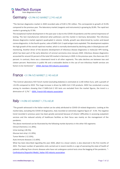

#### Germany +25.9% IVD MARKET 2,745 mEUR

"The German diagnostics market in 2020 recorded sales of EUR 2,745 million. This corresponds to growth of 25.9% compared to the previous year. The laboratory market (reagents and instruments) is growing by 20.8%. The rapid test market is growing by 37.9%.

The exceptional market development in the past year is due to the COVID-19 pandemic and the central importance of testing. The test manufacturers delivered what politicians and the market in Germany demanded. The infectious disease diagnostics market segment quadrupled in volume. Initially, growth was determined by nucleic acid-based corona diagnostics. In the fourth quarter, sales of SARS-CoV-2 rapid antigen tests exploded. This development explains the high growth of the overall rapid test market, which is normally dominated by declining sales in blood glucose selfmonitoring. Another driver of the dynamic development of infectious disease diagnostics is molecular HPV testing, which has been part of the early detection of cervical carcinoma since January 2020. Infectious disease diagnostics accounted for around 32 percent of the total IVD market in Germany in 2020. In the previous year, the share was 10.3 percent. In contrast, there was a downward trend in all other segments. The sales declines are between two and sixteen percent. Restrictions in public life and a noticeable decline in the use of non-infectious health services are factors to be mentioned." - [VDGH, German IVD industry association](https://www.vdgh.de/)

#### $\overline{a}$ France +31.9% IVD MARKET 2,140 MEUR

"The Central Laboratory IVD French market (excluding diabetes) is estimated at 2,140 million Euro, with a growth of +31.9% compared to 2019. This huge increase is driven by SARS-CoV-2 IVD products. SIDIV has conducted a survey among its members showing that if SARS-CoV-2 IVD tests are excluded from the market figures, the trend is a diminution of -2,7%." - [SIDIV, French IVD industry association](https://www.sidiv.fr/)

#### $\frac{1}{2}$ Italy +14.0% IVD MARKET 1,776 MEUR

"The growth witnessed in the Italian market can be solely attributed to COVID-19 related diagnostics. Looking at the market data, excluding the COVID-19 diagnostics, Italy recorded an extremely negative figure of - 4.5%. The negative trend recorded in previous years has been greatly worsened because of citizens' difficulties in accessing outpatient services and the reduced activity of healthcare facilities as their focus was mainly on the management of the pandemic.

The above mentioned can be illustrated by the following market dynamics in the other IVD segments:

Clinical Chemistry (-11.30%);

Urine testing (-28.5%);

Glucose test strip (-11.20%);

Tumor Marker (-12.10%);

Auto-immune diseases (-11.60%).

What has been described regarding the year 2020, albeit to a lesser extent, is also observed in the first months of 2021. The lower number of specialists visits carried out in recent months is a sign of worsening the state of health of patients suffering from chronic diseases who have not undergone control tests since the begging of the pandemic. "- [Confindustria Dispositivi Medici, Italian IVD industry association](https://www.confindustriadm.it/)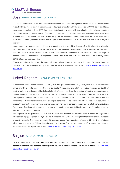

#### Spain +50.3% IVD MARKET 1,514 MEUR

"Due to pandemic situation the routine activity has declined a lot and in consequence the routine test declined steadily related with low follow up of chronic illnesses and surgical procedures. In the other side all COVID-19 related tests, considering not only the direct SARS-CoV-2 tests, but also other related with its evaluation, diagnosis and evolution had a huge increase. Companies manufacturing COVID-19 tests in Spain had been very successful selling their tests around the world. Molecular test performance has gotten a tremendous support and is expected to remain strong in the future. Self-test (diabetes) remains declining as previous years but POC mainly due to Covid Rapid tests grew strongly.

Laboratories have focused their activities to responded to the very high demand of covid related test changing structures and hiring personnel for the new areas and we have seen few progress in other fields of the laboratory medicine. There is a concern about future market evolution once the COVID-19 tests arrive to a peak and begin to decline. Future is uncertain and we expect to recover 100% of routine test, while and there is no certainty about COVID-19 related tests evolution.

IVD test are riding on the crest of the wave and citizens rely on this technology more than ever. We have to keep the momentum and seize the opportunity to reinforce the value of diagnostic information."- [FENIN, Spanish IVD industry](https://www.fenin.es/)  [association](https://www.fenin.es/)

#### United Kingdom +19.7% IVD MARKET 1,272 MEUR

"The headline UK IVD market size for 2020 is £1,131m with growth of almost 20% (£186m) over 2019. This exceptional annual growth is due to heavy investment in testing for Coronavirus plus additional testing required for COVID-19 positive patients in serious condition in hospitals. It is offset only partly by the cessation of elective treatments during the first national lockdown which started on the 23rd of March, and the slow recovery of normal clinical services subsequently. Although most of the molecular tests for Coronavirus have been captured in the survey as they are supplied by participating companies, there is a huge expenditure on Rapid Tests (Lateral Flow Tests, or LFTs) purchased directly through national government arrangements from non-participant companies which is not all captured in these figures. One of the largest is reported to have won a contract for at least £2.8billion for supply of LFTs for home testing, which is not captured in the audit.

The response to the pandemic was late but dramatic and included the establishment of dedicated 'Lighthouse laboratories' equipped purely for high volume PCR testing for COVID-19. Testing for other conditions and purposes dropped drastically. The impact on non-Covid revenues ranged from reductions of around 30% for drugs of abuse, allergy, and anemia, while Chlamydia testing was down over 80%. In contrast, some specific assays such as D-Dimer and Procalcitonin were greatly increased." - [BIVDA, British IVD industry association](https://www.bivda.org.uk/)

#### Belgium +7.5% IVD MARKET 372 MEUR

"In 2020, because of COVID-19, there were less hospitalizations and consultations (i.e., in the first wave, 59% less hospitalizations and 43% less consultations) which resulted in less non-Coronavirus related IVD tests." - beMedTech, [Belgian IVD industry association.](https://www.bemedtech.be/nl/)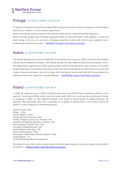

#### $\overline{a}$ Portugal +37.5% IVD MARKET 303 M EUR

"In 2020, the Portuguese IVD market excluding COVID-19 tests decreased by 10.0% as consequence of the lockdown which led to a reduction in routine medical appointments.

Overall, the total IVD market increased 37.5% driven by COVID-19 tests, namely PCR and PoC-Rapid tests.

COVID-19 testing, despite being financially supported by NHS, has been performed in both segments – private and public setting. In this area, we also faced a changing competitive scenario, with entry of new competitors and a reinforcement of some existing ones." - [APIFARMA, Portuguese IVD industry association](https://www.apifarma.pt/Paginas/Home.aspx)

#### Austria +61.5% IVD MARKET 465 mEUR

"The market development in Austria in 2020 with the extremely steep increase vs. 2019 is only due to the pandemic and the relevant testing (PCR, Antigen- and Antibody testing). The other segments clearly declined between -2% to - 15% (depending on segment) due to fewer patient samples referred to the laboratories, fewer patients in out-patient hospital wards due to the lockdown restrictions and the clear focus of laboratories on COVID-testing. As a quite high number of new market players, who do not report their sales figures, entered with SARS-CoV-Testing methods the estimation of their sales might have a broad bandwidth." – [AUSTROMED, Austrian IVD industry association](https://www.austromed.org/)

#### Poland +20.6% IVD MARKET 454 mEUR

"In 2020, the market dynamic of +20.6% in Poland has been driven by COVID-19 tests, offsetting the decline in other segments. According to official sources, more than seven million SARS-Cov-2 tests have been performed in Poland. In comparison to 2019, we have observed decrease in the market of several groups of reagents (enzymes -5%, substrate -39%, electrolytes -8%), which is pointing out to decline or postponement in the medical services for patients. Further comparison of the market dynamics:

Specific Proteins (-9%) Allergy (-22%) Tumour Markers (-11%) Thyroid Function Hormones (-16%) Fertility / Pregnancy Hormones / Proteins (-9%) Individual and Specified Hormones / Proteins +13% Anemia Related / Vitamin Tests (-7%) Therapeutic Drug Monitoring (-3%) Drugs of Abuse / Toxicology +4% Auto-Immune Diseases (-14%) Rheumatoid - Inflammatory Diseases Markers (-18%) Cardiac Markers 7% Immunohematology (Blood Grouping) 11%

The decline in some of the routine testing for patients that has been observed is worrying in regard to the health of the patients." – [MedTech Polska, Polish IVD industry association.](https://medtechpolska.org/)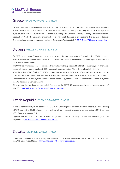# **MedTech Europe**

#### $\overline{\phantom{a}}$ Greece +19.2% IVD MARKET 254 mEUR

"After three consecutive years of GDP growth (2017 +1.3%, 2018 +1.6%, 2019 +1.9%), a recession by 8.2% took place in 2020, due to the COVID-19 pandemic. In 2020, the total IVD Market grew by 19.2% compared to 2019, mainly driven by revenues of 50 million euro related to Coronavirus Testing. The Greek IVD Market, excluding Coronavirus Testing, declined by -4.2%. The pandemic brought about a single digit decrease in all traditional IVD categories (Clinical Chemistry, Haematology, Immunology excluding Coronavirus Testing, etc.). "– SEIV, [Greek IVD industry association.](http://www.seiv.gr/)

#### $\overline{a}$ Slovenia +16.0% IVD MARKET 62 mEUR

"In 2020, the estimated IVD market in Slovenia grew with 16%, due to the COVID-19 situation. The COVID-19 impact was calculated considering the number of SARS Cov2 tests performed in Slovenia in 2020 and the public tenders open for PCR instruments and RAT.

The COVID-19 strong measures had significantly slowed down the operationality of the Health Care System. Therefore, the core lab tests dropped by almost -20%, representing approximately 70% of the total market in 2020 only.

With the arrival of RAT (end of Q3 2020), the POC was growing by 70%. Most of the RAT tests were supplied by providers from Asia. The RAT had been seen as an exciting business opportunity. Therefore, many new IVD distributors (most not even in IVD before) have appeared on the market (e.g., in the RAT National tender in December 2020, more than 40 distributors were competing).

Diabetes care has not been considerable influenced by the COVID-19 measures and reported modest growth of +2,4%." – [MedTech Slovenija, Slovenian IVD industry association.](https://medtechslovenija.gzs.si/)

#### $\overline{\phantom{a}}$ Czech Republic +32.9% IVD MARKET 215 MEUR

"The significant market growth observed in 2020 in the Czech Republic has been driven by infectious disease testing +57.8%, due to the COVID-19 pandemic, as well as related increased revenues in genetic testing +34.7%, services +28,9% and instruments +3.4%.

Opposite market dynamic occurred in microbiology (-12.2), clinical chemistry (-10.2%), and hematology (-4.7%) segments." - [CZEDMA, Czech IVD industry association.](http://www.czedma.cz/)

#### Slovakia +25.2% IVD MARKET 97 mEUR

"The country market dynamics +25.2% growth observed in 2020 have been driven by the Coronavirus pandemic and the SARS-Cov-2 related tests." - [SEDMA, Slovakian IVD industry association.](https://www.sedma-ivd.sk/sk/Novinky.alej)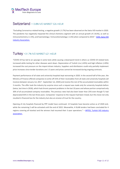

#### $\overline{a}$ Switzerland +13.8% IVD MARKET 526 MEUR

"Excluding Coronavirus related testing, a negative growth (-3.7%) has been observed on the Swiss IVD market in 2020. The pandemic has negatively impacted the clinical chemistry segment with an annual growth of (-8.6%), as well as immunochemistry (-2.3%), and haematology / immunohematology (-1.6%) when compared to 2019." -SVDI, Swiss IVD [industry Association.](https://www.svdi.ch/)

#### $\overline{a}$ Turkey +31.7% IVD MARKET 621 MEUR

"COVID-19 has led to an upsurge in some tests while causing a downward trend in others as COVID-19 related tests increased while testing for other diseases went down. Depreciation of Turkish Lira (+45%) and high inflation (+20%) increased the cost pressure on the import-driven industry. Suppliers and distributors could only partially implement price increases since tender durations are 1-3 years and prices cannot be increased during ongoing contracts.

Payment performance of all state and university hospitals kept worsening in 2020. In the second half of the year, the Ministry of Finance offered companies to write-off 25% of their receivables from all state and university hospitals (all invoices between January 1st, 2017 - September 1st, 2020) and receive the rest of the accumulated receivables within 3 months. The offer took the industry by surprise since such a request was made only for university hospitals before (twice, last time in 2018), which had chronic payment problems in the last 10 years and whose portion comprised only 30% of all accumulated company receivables. The previous rates had also been lower than 25% even though TL had depreciated 65% in the last three years. Companies' response to the request had been mixed, but this move not only resulted in financial loss for the industry but also an erosion of trust for the country.

Opening of city hospitals financed by PPP model have continued. 13 hospitals have become active as of 2020 end, while the remaining 5 will be activated until the end of 2022. Meanwhile, 4 ISLAB tenders had been concluded for 4 regions covering all Istanbul and the winners had resumed their 3-year operations." - ARTED, Turkish IVD industry [association.](http://arted.org.tr/)